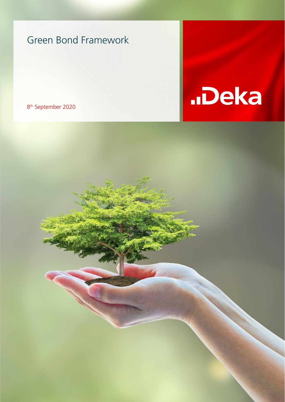8th September 2020



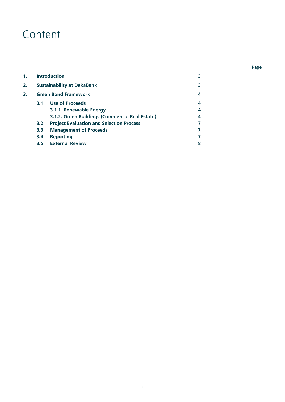## Content

| 1. | <b>Introduction</b>               |                                                 |   |  |  |
|----|-----------------------------------|-------------------------------------------------|---|--|--|
| 2. | <b>Sustainability at DekaBank</b> |                                                 |   |  |  |
| 3. | <b>Green Bond Framework</b>       |                                                 |   |  |  |
|    |                                   | 3.1. Use of Proceeds                            | 4 |  |  |
|    |                                   | 3.1.1. Renewable Energy                         | 4 |  |  |
|    |                                   | 3.1.2. Green Buildings (Commercial Real Estate) | 4 |  |  |
|    | 3.2.                              | <b>Project Evaluation and Selection Process</b> | 7 |  |  |
|    | 3.3.                              | <b>Management of Proceeds</b>                   | 7 |  |  |
|    | 3.4.                              | <b>Reporting</b>                                | 7 |  |  |
|    |                                   | 3.5. External Review                            | 8 |  |  |

 **Page**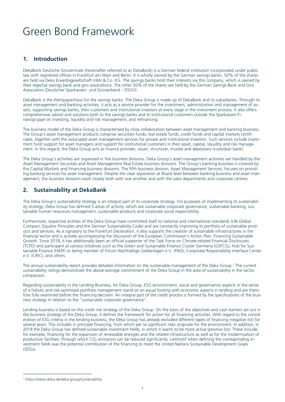### **1. Introduction**

DekaBank Deutsche Girozentrale (hereinafter referred to as DekaBank) is a German federal institution incorporated under public law with registered offices in Frankfurt am Main and Berlin. It is wholly owned by the German savings banks. 50% of the shares are held via Deka Erwerbsgesellschaft mbH & Co. KG. The savings banks hold their interests via this company, which is owned by their regional savings bank and giro associations. The other 50% of the shares are held by the German Savings Bank and Giro Association (Deutscher Sparkassen- und Giroverband – DSGV).

DekaBank is the Wertpapierhaus for the savings banks. The Deka Group is made up of DekaBank and its subsidiaries. Through its asset management and banking activities, it acts as a service provider for the investment, administration and management of assets, supporting savings banks, their customers and institutional investors at every stage in the investment process. It also offers comprehensive advice and solutions both to the savings banks and to institutional customers outside the Sparkassen-Finanzgruppe on investing, liquidity and risk management, and refinancing.

The business model of the Deka Group is characterised by close collaboration between asset management and banking business. The Group's asset management products comprise securities funds, real estate funds, credit funds and capital markets certificates, together with the associated asset management services for private and institutional investors. Such services include investment fund support for asset managers and support for institutional customers in their asset, capital, liquidity and risk management. In this regard, the Deka Group acts as finance provider, issuer, structurer, trustee and depositary (custodian bank).

The Deka Group's activities are organised in five business divisions. Deka Group's asset management activities are handled by the Asset Management Securities and Asset Management Real Estate business divisions. The Group's banking business is covered by the Capital Markets and Financing business divisions. The fifth business division, Asset Management Services, focuses on providing banking services for asset management. Despite the clear separation at Board level between banking business and asset management, the business divisions work closely both with one another and with the sales departments and corporate centres.

### **2. Sustainability at DekaBank**

The Deka Group's sustainability strategy is an integral part of its corporate strategy. For purposes of implementing its sustainability strategy, Deka Group has defined 5 areas of activity, which are sustainable corporate governance, sustainable banking, sustainable human resources management, sustainable products and corporate social responsibility.

Furthermore, respective entities of the Deka Group have committed itself to national and international standards (UN Global Compact, Equator Principles and the German Sustainability Code) and are constantly improving its portfolio of sustainable products and services. As a signatory to the Frankfurt Declaration, it also supports the creation of sustainable infrastructures in the financial sector and is actively accompanying the discussion of the European Commission's Action Plan: Financing Sustainable Growth. Since 2018, it has additionally been an official supporter of the Task Force on Climate-related Financial Disclosures (TCFD) and participant at various initiatives such as the Green and Sustainable Finance Cluster Germany (GSFCG), Hub for Sustainable Finance (H4SF) or being member of Forum Nachhaltige Geldanlagen e.V. (FNG), Corporate Responsibility Interface Center e.V. (CRIC), and others.

The annual sustainability report provides detailed information on the sustainable management of the Deka Group.<sup>1</sup> The current sustainability ratings demonstrate the above-average commitment of the Deka Group in the area of sustainability in the sector comparison.

Regarding sustainability in the Lending Business, for Deka Group, ESG (environment, social and governance) aspects in the sense of a holistic and risk-optimised portfolio management stand on an equal footing with economic aspects in lending and are therefore fully examined before the financing decision. An integral part of the credit process is formed by the specifications of the business strategy in relation to the "sustainable corporate governance".

Lending business is based on the credit risk strategy of the Deka Group. On the basis of the objectives and cash barriers set out in the business strategy of the Deka Group, it defines the framework for action for all financing activities. With regard to the consideration of ESG criteria in the lending business, the Deka Group has already excluded different types of financing (negative list) for several years. This includes in principle financing, from which per se significant risks originate for the environment. In addition, in 2018 the Deka Group has defined sustainable investment fields, in which it wants to be more active (positive list). These include, for example, financing for the expansion of renewable energies and the related infrastructure as well as for the modernisation of production facilities, through which CO<sub>2</sub> emissions can be reduced significantly. Leitmotif when defining the corresponding investment fields was the potential contribution of the financing to meet the United Nations Sustainable Development Goals (SDGs).

 $\overline{a}$ 

<sup>1</sup> https://www.deka.de/deka-group/sustainability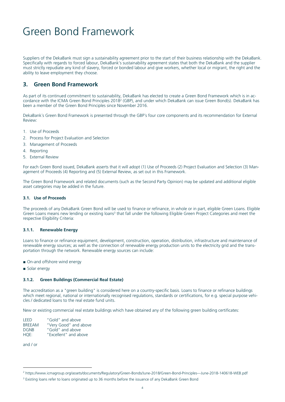Suppliers of the DekaBank must sign a sustainability agreement prior to the start of their business relationship with the DekaBank. Specifically with regards to forced labour, DekaBank's sustainability agreement states that both the DekaBank and the supplier must strictly repudiate any kind of slavery, forced or bonded labour and give workers, whether local or migrant, the right and the ability to leave employment they choose.

### **3. Green Bond Framework**

As part of its continued commitment to sustainability, DekaBank has elected to create a Green Bond Framework which is in accordance with the ICMA Green Bond Principles 20182 (GBP), and under which DekaBank can issue Green Bond(s). DekaBank has been a member of the Green Bond Principles since November 2016.

DekaBank´s Green Bond Framework is presented through the GBP´s four core components and its recommendation for External Review:

- 1. Use of Proceeds
- 2. Process for Project Evaluation and Selection
- 3. Management of Proceeds
- 4. Reporting
- 5. External Review

For each Green Bond issued, DekaBank asserts that it will adopt (1) Use of Proceeds (2) Project Evaluation and Selection (3) Management of Proceeds (4) Reporting and (5) External Review, as set out in this Framework.

The Green Bond Framework and related documents (such as the Second Party Opinion) may be updated and additional eligible asset categories may be added in the future.

#### **3.1. Use of Proceeds**

The proceeds of any DekaBank Green Bond will be used to finance or refinance, in whole or in part, eligible Green Loans. Eligible Green Loans means new lending or existing loans<sup>3</sup> that fall under the following Eligible Green Project Categories and meet the respective Eligibility Criteria:

#### **3.1.1. Renewable Energy**

Loans to finance or refinance equipment, development, construction, operation, distribution, infrastructure and maintenance of renewable energy sources; as well as the connection of renewable energy production units to the electricity grid and the transportation through the network. Renewable energy sources can include:

- On-and offshore wind energy
- Solar energy

#### **3.1.2. Green Buildings (Commercial Real Estate)**

The accreditation as a "green building" is considered here on a country-specific basis. Loans to finance or refinance buildings which meet regional, national or internationally recognised regulations, standards or certifications, for e.g. special purpose vehicles / dedicated loans to the real estate fund units.

New or existing commercial real estate buildings which have obtained any of the following green building certificates:

LEED "Gold" and above BREEAM "Very Good" and above DGNB "Gold" and above HQE: "Excellent" and above

and / or

 $\overline{a}$ 

<sup>2</sup> https://www.icmagroup.org/assets/documents/Regulatory/Green-Bonds/June-2018/Green-Bond-Principles---June-2018-140618-WEB.pdf

<sup>&</sup>lt;sup>3</sup> Existing loans refer to loans originated up to 36 months before the issuance of any DekaBank Green Bond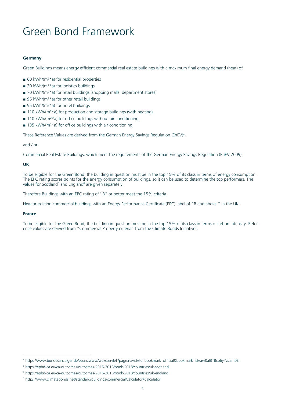#### **Germany**

Green Buildings means energy efficient commercial real estate buildings with a maximum final energy demand (heat) of

- $\blacksquare$  60 kWh/(m<sup>2\*</sup>a) for residential properties
- $\Box$  30 kWh/(m<sup>2\*</sup>a) for logistics buildings
- 70 kWh/(m<sup>2\*</sup>a) for retail buildings (shopping malls, department stores)
- $\Box$  95 kWh/(m<sup>2\*</sup>a) for other retail buildings
- 95 kWh/(m<sup>2\*</sup>a) for hotel buildings
- 110 kWh/(m<sup>2\*</sup>a) for production and storage buildings (with heating)
- $\blacksquare$  110 kWh/(m<sup>2\*</sup>a) for office buildings without air conditioning
- $\blacksquare$  135 kWh/(m<sup>2\*</sup>a) for office buildings with air conditioning

These Reference Values are derived from the German Energy Savings Regulation (EnEV)4.

#### and / or

Commercial Real Estate Buildings, which meet the requirements of the German Energy Savings Regulation (EnEV 2009).

#### **UK**

To be eligible for the Green Bond, the building in question must be in the top 15% of its class in terms of energy consumption. The EPC rating scores points for the energy consumption of buildings, so it can be used to determine the top performers. The values for Scotland<sup>5</sup> and England<sup>6</sup> are given separately.

Therefore Buildings with an EPC rating of ''B" or better meet the 15% criteria

New or existing commercial buildings with an Energy Performance Certificate (EPC) label of "B and above " in the UK.

#### **France**

 $\overline{a}$ 

To be eligible for the Green Bond, the building in question must be in the top 15% of its class in terms ofcarbon intensity. Reference values are derived from "Commercial Property criteria" from the Climate Bonds Initiative<sup>7</sup>.

<sup>4</sup> https://www.bundesanzeiger.de/ebanzwww/wexsservlet?page.navid=to\_bookmark\_official&bookmark\_id=aw0alBTBco6yYzcam0E;

<sup>5</sup> https://epbd-ca.eu/ca-outcomes/outcomes-2015-2018/book-2018/countries/uk-scotland

<sup>&</sup>lt;sup>6</sup> https://epbd-ca.eu/ca-outcomes/outcomes-2015-2018/book-2018/countries/uk-england

<sup>7</sup> https://www.climatebonds.net/standard/buildings/commercial/calculator#calculator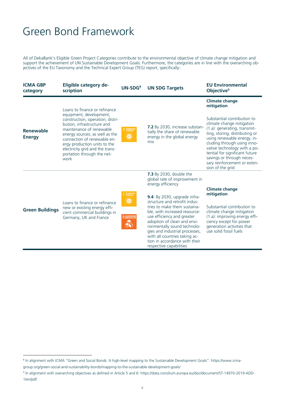All of DekaBank's Eligible Green Project Categories contribute to the environmental objective of climate change mitigation and support the achievement of UN Sustainable Development Goals. Furthermore, the categories are in line with the overarching objectives of the EU Taxonomy and the Technical Expert Group (TEG) report, specifically:

| <b>ICMA GBP</b><br>category | <b>Eligible category de-</b><br>scription                                                                                                                                                                                                                                                                                        | $UN-SDG8$                                                                   | <b>UN SDG Targets</b>                                                                                                                                                                                                                                                                                                                                                                                                                              | <b>EU Environmental</b><br>Objective <sup>9</sup>                                                                                                                                                                                                                                                                                                                                  |
|-----------------------------|----------------------------------------------------------------------------------------------------------------------------------------------------------------------------------------------------------------------------------------------------------------------------------------------------------------------------------|-----------------------------------------------------------------------------|----------------------------------------------------------------------------------------------------------------------------------------------------------------------------------------------------------------------------------------------------------------------------------------------------------------------------------------------------------------------------------------------------------------------------------------------------|------------------------------------------------------------------------------------------------------------------------------------------------------------------------------------------------------------------------------------------------------------------------------------------------------------------------------------------------------------------------------------|
| Renewable<br><b>Energy</b>  | Loans to finance or refinance<br>equipment, development,<br>construction, operation, distri-<br>bution, infrastructure and<br>maintenance of renewable<br>energy sources; as well as the<br>connection of renewable en-<br>ergy production units to the<br>electricity grid and the trans-<br>portation through the net-<br>work | 7 AFFORDABLE AND<br>美                                                       | 7.2 By 2030, increase substan-<br>tially the share of renewable<br>energy in the global energy<br>mix                                                                                                                                                                                                                                                                                                                                              | <b>Climate change</b><br>mitigation<br>Substantial contribution to<br>climate change mitigation<br>(1.a): generating, transmit-<br>ting, storing, distributing or<br>using renewable energy, in-<br>cluding through using inno-<br>vative technology with a po-<br>tential for significant future<br>savings or through neces-<br>sary reinforcement or exten-<br>sion of the grid |
| <b>Green Buildings</b>      | Loans to finance or refinance<br>new or existing energy effi-<br>cient commercial buildings in<br>Germany, UK and France                                                                                                                                                                                                         | AFFORDABLE AN<br>CLEANENERGY<br><u>io</u><br><b>9</b> NOUSTRY INVOLVED<br>₩ | 7.3 By 2030, double the<br>global rate of improvement in<br>energy efficiency<br><b>9.4</b> : By 2030, upgrade infra-<br>structure and retrofit indus-<br>tries to make them sustaina-<br>ble, with increased resource-<br>use efficiency and greater<br>adoption of clean and envi-<br>ronmentally sound technolo-<br>gies and industrial processes,<br>with all countries taking ac-<br>tion in accordance with their<br>respective capabilities | <b>Climate change</b><br>mitigation<br>Substantial contribution to<br>climate change mitigation<br>(1.a): improving energy effi-<br>ciency except for power<br>generation activities that<br>use solid fossil fuels                                                                                                                                                                |

 $\overline{a}$ 

<sup>&</sup>lt;sup>8</sup> In alignment with ICMA "Green and Social Bonds: A high-level mapping to the Sustainable Development Goals": https://www.icma-

group.org/green-social-and-sustainability-bonds/mapping-to-the-sustainable-development-goals/

<sup>9</sup> In alignment with overarching objectives as defined in Article 5 and 6: https://data.consilium.europa.eu/doc/document/ST-14970-2019-ADD-1/en/pdf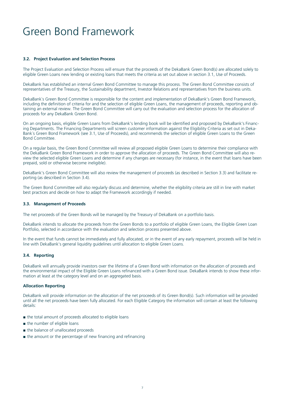#### **3.2. Project Evaluation and Selection Process**

The Project Evaluation and Selection Process will ensure that the proceeds of the DekaBank Green Bond(s) are allocated solely to eligible Green Loans new lending or existing loans that meets the criteria as set out above in section 3.1, Use of Proceeds.

DekaBank has established an internal Green Bond Committee to manage this process. The Green Bond Committee consists of representatives of the Treasury, the Sustainability department, Investor Relations and representatives from the business units.

DekaBank`s Green Bond Committee is responsible for the content and implementation of DekaBank's Green Bond Framework, including the definition of criteria for and the selection of eligible Green Loans, the management of proceeds, reporting and obtaining an external review. The Green Bond Committee will carry out the evaluation and selection process for the allocation of proceeds for any DekaBank Green Bond.

On an ongoing basis, eligible Green Loans from DekaBank's lending book will be identified and proposed by DekaBank's Financing Departments. The Financing Departments will screen customer information against the Eligibility Criteria as set out in Deka-Bank´s Green Bond Framework (see 3.1, Use of Proceeds), and recommends the selection of eligible Green Loans to the Green Bond Committee.

On a regular basis, the Green Bond Committee will review all proposed eligible Green Loans to determine their compliance with the DekaBank Green Bond Framework in order to approve the allocation of proceeds. The Green Bond Committee will also review the selected eligible Green Loans and determine if any changes are necessary (for instance, in the event that loans have been prepaid, sold or otherwise become ineligible).

DekaBank's Green Bond Committee will also review the management of proceeds (as described in Section 3.3) and facilitate reporting (as described in Section 3.4).

The Green Bond Committee will also regularly discuss and determine, whether the eligibility criteria are still in line with market best practices and decide on how to adapt the Framework accordingly if needed.

#### **3.3. Management of Proceeds**

The net proceeds of the Green Bonds will be managed by the Treasury of DekaBank on a portfolio basis.

DekaBank intends to allocate the proceeds from the Green Bonds to a portfolio of eligible Green Loans, the Eligible Green Loan Portfolio, selected in accordance with the evaluation and selection process presented above.

In the event that funds cannot be immediately and fully allocated, or in the event of any early repayment, proceeds will be held in line with DekaBank's general liquidity guidelines until allocation to eligible Green Loans.

#### **3.4. Reporting**

DekaBank will annually provide investors over the lifetime of a Green Bond with information on the allocation of proceeds and the environmental impact of the Eligible Green Loans refinanced with a Green Bond issue. DekaBank intends to show these information at least at the category level and on an aggregated basis.

#### **Allocation Reporting**

DekaBank will provide information on the allocation of the net proceeds of its Green Bond(s). Such information will be provided until all the net proceeds have been fully allocated. For each Eligible Category the information will contain at least the following details:

- the total amount of proceeds allocated to eligible loans
- the number of eligible loans
- the balance of unallocated proceeds
- the amount or the percentage of new financing and refinancing